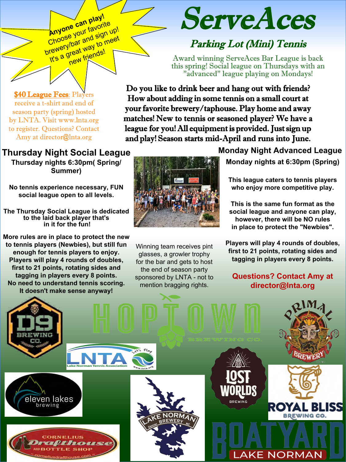**\$40 League Fees: Players** receive a t-shirt and end of season party (spring) hosted by LNTA. Visit www.lnta.org to register. Questions? Contact Amy at director@lnta.org

#### **Thursday Night Social League**

Anyone can play!<br>Choose your favorite **Anyone call favorite**<br>Choose your favorite up!<br>Choose your and sign up!<br>brewery dreat way to meet Shoose y<sub>or and signeet</sub><br>rewerylbar and to meet<br>it's a great friends!

**Thursday nights 6:30pm( Spring/ Summer)**

**No tennis experience necessary, FUN social league open to all levels.**

**The Thursday Social League is dedicated to the laid back player that's in it for the fun!** 

**More rules are in place to protect the new to tennis players (Newbies), but still fun enough for tennis players to enjoy. Players will play 4 rounds of doubles, first to 21 points, rotating sides and tagging in players every 8 points. No need to understand tennis scoring. It doesn't make sense anyway!**

# ServeAces

### Parking Lot (Mini) Tennis

Award winning ServeAces Bar League is back this spring! Social league on Thursdays with an "advanced" league playing on Mondays!

Do you like to drink beer and hang out with friends? How about adding in some tennis on a small court at your favorite brewery/taphouse. Play home and away matches! New to tennis or seasoned player? We have a league for you! All equipment is provided. Just sign up and play! Season starts mid-April and runs into June.



Winning team receives pint glasses, a growler trophy for the bar and gets to host the end of season party sponsored by LNTA - not to mention bragging rights.

**Monday Night Advanced League Monday nights at 6:30pm (Spring)**

**This league caters to tennis players who enjoy more competitive play.** 

**This is the same fun format as the social league and anyone can play, however, there will be NO rules in place to protect the "Newbies".** 

**Players will play 4 rounds of doubles, first to 21 points, rotating sides and tagging in players every 8 points.** 

#### **Questions? Contact Amy at director@lnta.org**

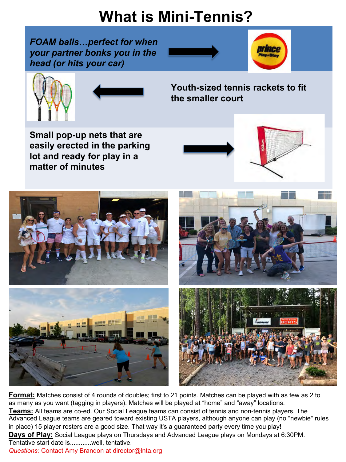# **What is Mini-Tennis?**

*FOAM balls…perfect for when your partner bonks you in the head (or hits your car)*







**Youth-sized tennis rackets to fit the smaller court**

**Small pop-up nets that are easily erected in the parking lot and ready for play in a matter of minutes**



**Format:** Matches consist of 4 rounds of doubles; first to 21 points. Matches can be played with as few as 2 to as many as you want (tagging in players). Matches will be played at "home" and "away" locations. **Teams:** All teams are co-ed. Our Social League teams can consist of tennis and non-tennis players. The Advanced League teams are geared toward existing USTA players, although anyone can play (no "newbie" rules in place) 15 player rosters are a good size. That way it's a guaranteed party every time you play! **Days of Play:** Social League plays on Thursdays and Advanced League plays on Mondays at 6:30PM. Tentative start date is............well, tentative. *Questions:* Contact Amy Brandon at director@lnta.org